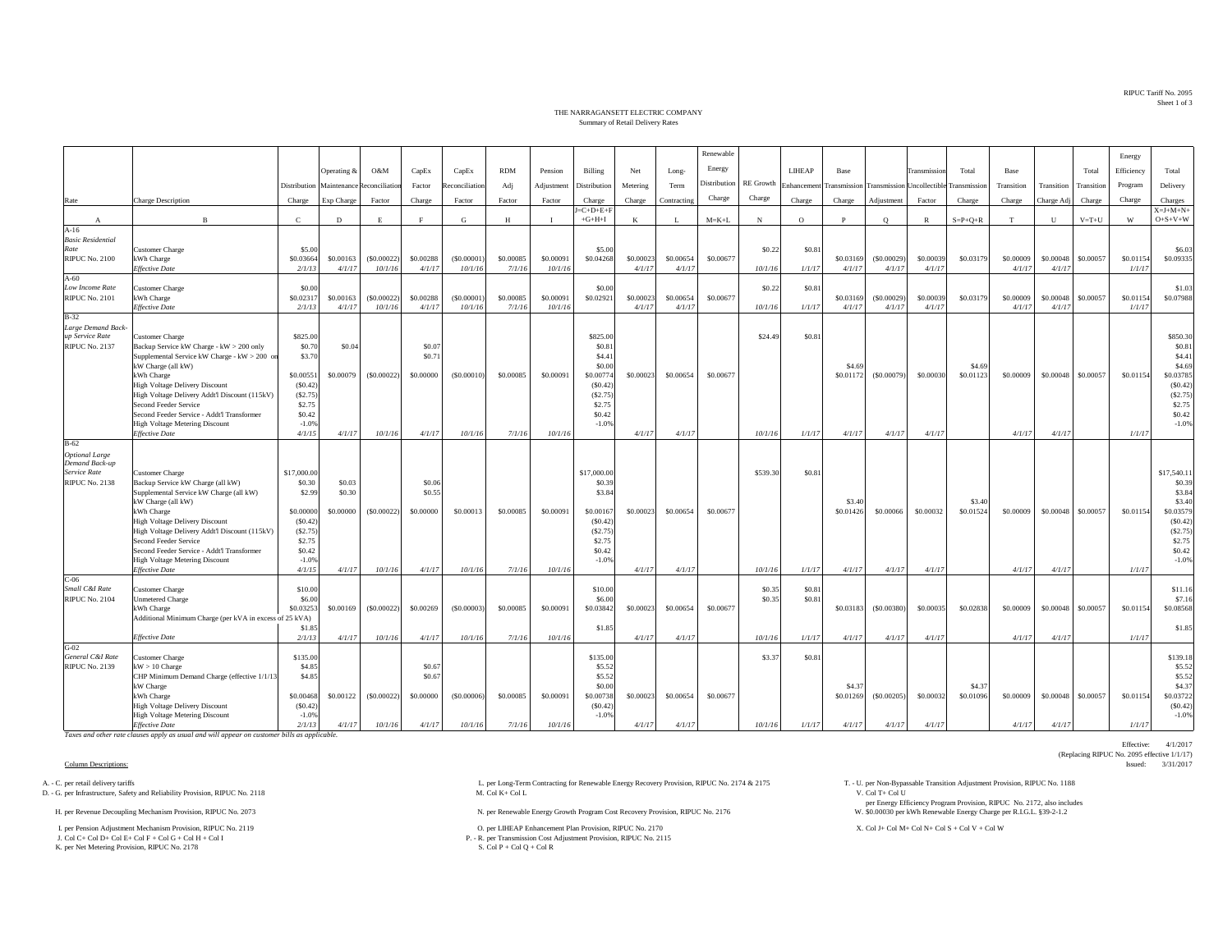RIPUC Tariff No. 2095Sheet 1 of 3

## THE NARRAGANSETT ELECTRIC COMPANYSummary of Retail Delivery Rates

|                                       |                                                                                     |                       |                     |                                         |                     |               |                     |                      |                                 |                    |                     | Renewable    |                  |                 |                                                      |                       |                     |                 |                     |                     |             | Energy              |                                      |
|---------------------------------------|-------------------------------------------------------------------------------------|-----------------------|---------------------|-----------------------------------------|---------------------|---------------|---------------------|----------------------|---------------------------------|--------------------|---------------------|--------------|------------------|-----------------|------------------------------------------------------|-----------------------|---------------------|-----------------|---------------------|---------------------|-------------|---------------------|--------------------------------------|
|                                       |                                                                                     |                       | Operating &         | O&M                                     | CapEx               | CapEx         | <b>RDM</b>          | Pension              | Billing                         | Net                | Long-               | Energy       |                  | LIHEAP          | Base                                                 |                       | Transmission        | Total           | Base                |                     | Total       | Efficiency          | Total                                |
|                                       |                                                                                     |                       |                     |                                         |                     |               |                     |                      |                                 |                    |                     | Distribution | <b>RE</b> Growth |                 |                                                      |                       |                     |                 |                     |                     |             |                     |                                      |
|                                       |                                                                                     |                       |                     | Distribution Maintenance Reconciliation | Factor              | econciliation | Adj                 | Adjustment           | Distribution                    | Metering           | Term                |              |                  | Enhancemen      | Transmission Transmission Uncollectible Transmission |                       |                     |                 | Transition          | Transition          | Transition  | Program             | Delivery                             |
| Rate                                  | Charge Description                                                                  | Charge                | Exp Charge          | Factor                                  | Charge              | Factor        | Factor              | Factor               | Charge                          | Charge             | Contracting         | Charge       | Charge           | Charge          | Charge                                               | Adjustment            | Factor              | Charge          | Charge              | Charge Adj          | Charge      | Charge              | Charges                              |
| $\mathbf{A}$                          | $\overline{B}$                                                                      | $\mathbf{C}$          | D                   | E                                       |                     | G             | H                   | $\mathbf{I}$         | $J = C + D + E + F$<br>$+G+H+I$ | K                  | - L                 | $M = K + L$  | N                | $\Omega$        | P                                                    | $\circ$               | $\mathbb{R}$        | $S = P + Q + R$ | T                   | U                   | $V = T + U$ | W                   | $X = J + M + N +$<br>$O + S + V + W$ |
| $A-16$                                |                                                                                     |                       |                     |                                         |                     |               |                     |                      |                                 |                    |                     |              |                  |                 |                                                      |                       |                     |                 |                     |                     |             |                     |                                      |
| <b>Basic Residential</b><br>Rate      | Customer Charge                                                                     | \$5.00                |                     |                                         |                     |               |                     |                      | \$5.00                          |                    |                     |              | \$0.22           | \$0.8           |                                                      |                       |                     |                 |                     |                     |             |                     | \$6.03                               |
| <b>RIPUC No. 2100</b>                 | kWh Charge                                                                          | \$0.03664             | \$0.00163           | (S0.00022)                              | \$0,00288           | (S0,00001)    | \$0,00085           | \$0.00091            | \$0.04268                       | \$0.0002           | \$0,00654           | \$0,00677    |                  |                 | \$0.03169                                            | (\$0.00029)           | \$0,00039           | \$0.03179       | \$0,00009           | \$0.00048           | \$0.00057   | \$0.01154           | \$0.09335                            |
|                                       | <b>Effective Date</b>                                                               | 2/1/13                | 4/1/17              | 10/1/16                                 | 4/1/17              | 10/1/16       | 7/1/16              | 10/1/16              |                                 | 4/1/17             | 4/1/17              |              | 10/1/16          | 1/1/17          | 4/1/17                                               | 4/1/17                | 4/1/17              |                 | 4/1/17              | 4/1/17              |             | 1/1/17              |                                      |
| $A-60$                                |                                                                                     |                       |                     |                                         |                     |               |                     |                      |                                 |                    |                     |              |                  |                 |                                                      |                       |                     |                 |                     |                     |             |                     |                                      |
| Low Income Rate                       | <b>Customer Charge</b>                                                              | \$0.00                |                     |                                         |                     | (\$0,00001    |                     |                      | \$0.00                          |                    |                     |              | \$0.22           | \$0.81          |                                                      |                       |                     |                 |                     |                     |             |                     | \$1.03                               |
| <b>RIPUC No. 2101</b>                 | kWh Charge<br><b>Effective Date</b>                                                 | \$0.02317<br>2/1/1    | \$0.00163<br>4/1/17 | (S0.00022)<br>10/1/16                   | \$0.00288<br>4/1/17 | 10/1/16       | \$0,00085<br>7/1/16 | \$0.00091<br>10/1/16 | \$0.02921                       | \$0.0002<br>4/1/17 | \$0.00654<br>4/1/17 | \$0.00677    | 10/1/16          | 1/1/17          | \$0.03169<br>4/1/17                                  | (\$0.00029)<br>4/1/17 | \$0.00039<br>4/1/17 | \$0.03179       | \$0.00009<br>4/1/17 | \$0.00048<br>4/1/17 | \$0.00057   | \$0.01154<br>1/1/17 | \$0.07988                            |
| $B-32$                                |                                                                                     |                       |                     |                                         |                     |               |                     |                      |                                 |                    |                     |              |                  |                 |                                                      |                       |                     |                 |                     |                     |             |                     |                                      |
| Large Demand Back                     |                                                                                     |                       |                     |                                         |                     |               |                     |                      |                                 |                    |                     |              |                  |                 |                                                      |                       |                     |                 |                     |                     |             |                     |                                      |
| up Service Rate                       | Customer Charge                                                                     | \$825.00              |                     |                                         |                     |               |                     |                      | \$825.00                        |                    |                     |              | \$24.49          | \$0.8           |                                                      |                       |                     |                 |                     |                     |             |                     | \$850.30                             |
| <b>RIPUC No. 2137</b>                 | Backup Service kW Charge - kW > 200 only                                            | \$0.70                | \$0.04              |                                         | \$0.07              |               |                     |                      | \$0.81                          |                    |                     |              |                  |                 |                                                      |                       |                     |                 |                     |                     |             |                     | \$0.81                               |
|                                       | Supplemental Service kW Charge - kW > 200 or<br>kW Charge (all kW)                  | \$3.70                |                     |                                         | \$0.71              |               |                     |                      | \$4.41<br>\$0.00                |                    |                     |              |                  |                 | \$4.69                                               |                       |                     | \$4.69          |                     |                     |             |                     | \$4.41<br>\$4.69                     |
|                                       | kWh Charge                                                                          | \$0,00551             | \$0,00079           | (S0.00022)                              | \$0,00000           | (S0,00010)    | \$0,00085           | \$0,00091            | \$0,00774                       | \$0,00023          | \$0,00654           | \$0,00677    |                  |                 | \$0.01172                                            | (S0.00079)            | \$0,00030           | \$0.01123       | \$0,00009           | \$0,00048           | \$0,00057   | \$0.01154           | \$0.03785                            |
|                                       | <b>High Voltage Delivery Discount</b>                                               | (S0.42)               |                     |                                         |                     |               |                     |                      | (S0.42)                         |                    |                     |              |                  |                 |                                                      |                       |                     |                 |                     |                     |             |                     | (S0.42)                              |
|                                       | High Voltage Delivery Addt'l Discount (115kV)                                       | (S2.75)               |                     |                                         |                     |               |                     |                      | (S2.75)                         |                    |                     |              |                  |                 |                                                      |                       |                     |                 |                     |                     |             |                     | (S2.75)                              |
|                                       | Second Feeder Service                                                               | \$2.75                |                     |                                         |                     |               |                     |                      | \$2.75                          |                    |                     |              |                  |                 |                                                      |                       |                     |                 |                     |                     |             |                     | \$2.75                               |
|                                       | Second Feeder Service - Addt'l Transformer<br><b>High Voltage Metering Discount</b> | \$0.42<br>$-1.0%$     |                     |                                         |                     |               |                     |                      | \$0.42<br>$-1.0%$               |                    |                     |              |                  |                 |                                                      |                       |                     |                 |                     |                     |             |                     | \$0.42<br>$-1.0%$                    |
|                                       | <b>Effective Date</b>                                                               | 4/1/15                | 4/1/17              | 10/1/16                                 | 4/1/17              | 10/1/16       | 7/1/16              | 10/1/16              |                                 | 4/1/17             | 4/1/17              |              | 10/1/16          | 1/1/17          | 4/1/17                                               | 4/1/17                | 4/1/17              |                 | 4/1/17              | 4/1/17              |             | 1/1/17              |                                      |
| $B-62$                                |                                                                                     |                       |                     |                                         |                     |               |                     |                      |                                 |                    |                     |              |                  |                 |                                                      |                       |                     |                 |                     |                     |             |                     |                                      |
| <b>Optional Large</b>                 |                                                                                     |                       |                     |                                         |                     |               |                     |                      |                                 |                    |                     |              |                  |                 |                                                      |                       |                     |                 |                     |                     |             |                     |                                      |
| Demand Back-up                        |                                                                                     |                       |                     |                                         |                     |               |                     |                      |                                 |                    |                     |              |                  |                 |                                                      |                       |                     |                 |                     |                     |             |                     |                                      |
| Service Rate<br><b>RIPUC No. 2138</b> | Customer Charge<br>Backup Service kW Charge (all kW)                                | \$17,000.00<br>\$0.30 | \$0.03              |                                         | \$0.06              |               |                     |                      | \$17,000.00<br>\$0.39           |                    |                     |              | \$539.30         | \$0.81          |                                                      |                       |                     |                 |                     |                     |             |                     | \$17,540.11<br>\$0.39                |
|                                       | Supplemental Service kW Charge (all kW)                                             | \$2.99                | \$0.30              |                                         | \$0.55              |               |                     |                      | \$3.84                          |                    |                     |              |                  |                 |                                                      |                       |                     |                 |                     |                     |             |                     | \$3.84                               |
|                                       | kW Charge (all kW)                                                                  |                       |                     |                                         |                     |               |                     |                      |                                 |                    |                     |              |                  |                 | \$3.40                                               |                       |                     | \$3.40          |                     |                     |             |                     | \$3.40                               |
|                                       | kWh Charge                                                                          | \$0,00000             | \$0.00000           | (S0.00022)                              | \$0,00000           | \$0,00013     | \$0,00085           | \$0,00091            | \$0.00167                       | \$0,0002           | \$0,00654           | \$0,00677    |                  |                 | \$0.01426                                            | \$0,00066             | \$0,00032           | \$0.01524       | \$0,00009           | \$0,00048           | \$0.00057   | \$0,01154           | \$0.03579                            |
|                                       | <b>High Voltage Delivery Discount</b>                                               | (S0.42)               |                     |                                         |                     |               |                     |                      | (S0.42)                         |                    |                     |              |                  |                 |                                                      |                       |                     |                 |                     |                     |             |                     | (S0.42)                              |
|                                       | High Voltage Delivery Addt'l Discount (115kV)<br>Second Feeder Service              | (S2.75)<br>\$2.75     |                     |                                         |                     |               |                     |                      | (S2.75)<br>\$2.75               |                    |                     |              |                  |                 |                                                      |                       |                     |                 |                     |                     |             |                     | (S2.75)<br>\$2.75                    |
|                                       | Second Feeder Service - Addt'l Transformer                                          | \$0.42                |                     |                                         |                     |               |                     |                      | \$0.42                          |                    |                     |              |                  |                 |                                                      |                       |                     |                 |                     |                     |             |                     | \$0.42                               |
|                                       | <b>High Voltage Metering Discount</b>                                               | $-1.0%$               |                     |                                         |                     |               |                     |                      | $-1.0%$                         |                    |                     |              |                  |                 |                                                      |                       |                     |                 |                     |                     |             |                     | $-1.0%$                              |
|                                       | <b>Effective Date</b>                                                               | 4/1/15                | 4/1/17              | 10/1/16                                 | 4/1/17              | 10/1/16       | 7/1/16              | 10/1/16              |                                 | 4/1/17             | 4/1/17              |              | 10/1/16          | 1/1/17          | 4/1/17                                               | 4/1/17                | 4/1/17              |                 | 4/1/17              | 4/1/17              |             | 1/1/17              |                                      |
| $C-06$<br>Small C&I Rate              |                                                                                     |                       |                     |                                         |                     |               |                     |                      |                                 |                    |                     |              |                  |                 |                                                      |                       |                     |                 |                     |                     |             |                     |                                      |
| <b>RIPUC No. 2104</b>                 | Customer Charge<br><b>Unmetered Charge</b>                                          | \$10.00<br>\$6.00     |                     |                                         |                     |               |                     |                      | \$10.00<br>\$6.00               |                    |                     |              | \$0.35<br>\$0.35 | \$0.8<br>\$0.81 |                                                      |                       |                     |                 |                     |                     |             |                     | \$11.16<br>\$7.16                    |
|                                       | kWh Charge                                                                          | \$0.0325              | \$0,00169           | (S0.00022)                              | \$0,00269           | (S0,00003)    | \$0,00085           | \$0,00091            | \$0.03842                       | \$0,0002           | \$0,00654           | \$0,00677    |                  |                 | \$0.03183                                            | $($ \$0,00380)        | \$0,00035           | \$0.02838       | \$0,00009           | \$0,00048           | \$0,00057   | \$0.01154           | \$0,08568                            |
|                                       | Additional Minimum Charge (per kVA in excess of 25 kVA)                             |                       |                     |                                         |                     |               |                     |                      |                                 |                    |                     |              |                  |                 |                                                      |                       |                     |                 |                     |                     |             |                     |                                      |
|                                       |                                                                                     | \$1.8                 |                     |                                         |                     |               |                     |                      | \$1.85                          |                    |                     |              |                  |                 |                                                      |                       |                     |                 |                     |                     |             |                     | \$1.85                               |
|                                       | <b>Effective Date</b>                                                               | 2/1/13                | 4/1/17              | 10/1/16                                 | 4/1/17              | 10/1/16       | 7/1/16              | 10/1/16              |                                 | 4/1/17             | 4/1/17              |              | 10/1/16          | 1/1/17          | 4/1/17                                               | 4/1/17                | 4/1/17              |                 | 4/1/17              | 4/1/17              |             | 1/1/17              |                                      |
| $G-02$<br>General C&I Rate            | <b>Customer Charge</b>                                                              | \$135.00              |                     |                                         |                     |               |                     |                      | \$135.00                        |                    |                     |              | \$3.37           | \$0.81          |                                                      |                       |                     |                 |                     |                     |             |                     | \$139.18                             |
| <b>RIPUC No. 2139</b>                 | $kW > 10$ Charge                                                                    | \$4.85                |                     |                                         | \$0.67              |               |                     |                      | \$5.52                          |                    |                     |              |                  |                 |                                                      |                       |                     |                 |                     |                     |             |                     | \$5.52                               |
|                                       | CHP Minimum Demand Charge (effective 1/1/1                                          | \$4.85                |                     |                                         | \$0.67              |               |                     |                      | \$5.52                          |                    |                     |              |                  |                 |                                                      |                       |                     |                 |                     |                     |             |                     | \$5.52                               |
|                                       | kW Charge                                                                           |                       |                     |                                         |                     |               |                     |                      | \$0.00                          |                    |                     |              |                  |                 | \$4.37                                               |                       |                     | \$4.3           |                     |                     |             |                     | \$4.37                               |
|                                       | kWh Charge                                                                          | \$0,00468             | \$0.00122           | (S0.00022)                              | \$0.00000           | (S0.00006)    | \$0.00085           | \$0.00091            | \$0.00738                       | \$0.00023          | \$0.00654           | \$0.00677    |                  |                 | \$0.01269                                            | (S0.00205)            | \$0.00032           | \$0.01096       | \$0.00009           | \$0.00048           | \$0.00057   | \$0.01154           | \$0.03722<br>(S0.42)                 |
|                                       | <b>High Voltage Delivery Discount</b><br><b>High Voltage Metering Discount</b>      | (S0.42)<br>$-1.0%$    |                     |                                         |                     |               |                     |                      | (S0.42)<br>$-1.0%$              |                    |                     |              |                  |                 |                                                      |                       |                     |                 |                     |                     |             |                     | $-1.0%$                              |
|                                       | <b>Effective Date</b>                                                               | 2/1/13                | 4/1/17              | 10/1/16                                 | 4/1/17              | 10/1/16       | 7/1/16              | 10/1/16              |                                 | 4/1/17             | 4/1/17              |              | 10/1/16          | 1/1/17          | 4/1/17                                               | 4/1/17                | 4/1/17              |                 | 4/1/17              | 4/1/17              |             | 1/1/17              |                                      |

*Taxes and other rate clauses apply as usual and will appear on customer bills as applicable.*

D. - G. per Infrastructure, Safety and Reliability Provision, RIPUC No. 2118

I. per Pension Adjustment Mechanism Provision, RIPUC No. 2119 O. per LIHEAP Enhancement Plan Provision, RIPUC No. 2170 X. Col J+ Col M+ Col N+ Col S + Col V + Col W J. Col C+ Col D+ Col E+ Col F + Col G + Col H + Col I

K. per Net Metering Provision, RIPUC No. 2178

A. - C. per retail delivery tariffs Adjustment Provision, RIPUC No. 2118 L. per Long-Term Contracting for Renewable Energy Recovery Provision, RIPUC No. 2174 & 2175 T. - U. per Non-Bypassable Transition Adjustment Provisio

H. per Renewable Energy Growth Program Cost Recovery Provision, RIPUC No. 2176 N. per Renewable Energy Growth Program Cost Recovery Provision, RIPUC No. 2176

P. - R. per Transmission Cost Adjustment Provision, RIPUC No. 2115<br>S. Col P + Col Q + Col R

per Energy Efficiency Program Provision, RIPUC No. 2172, also includes \$0.00030 per kWh Renewable Energy Charge per R.I.G.L. §39-2-1.2

Effective: 4/1/2017 (Replacing RIPUC No. 2095 effective 1/1/17)<br>Issued: 3/31/2017 Column Descriptions: Issued: 3/31/2017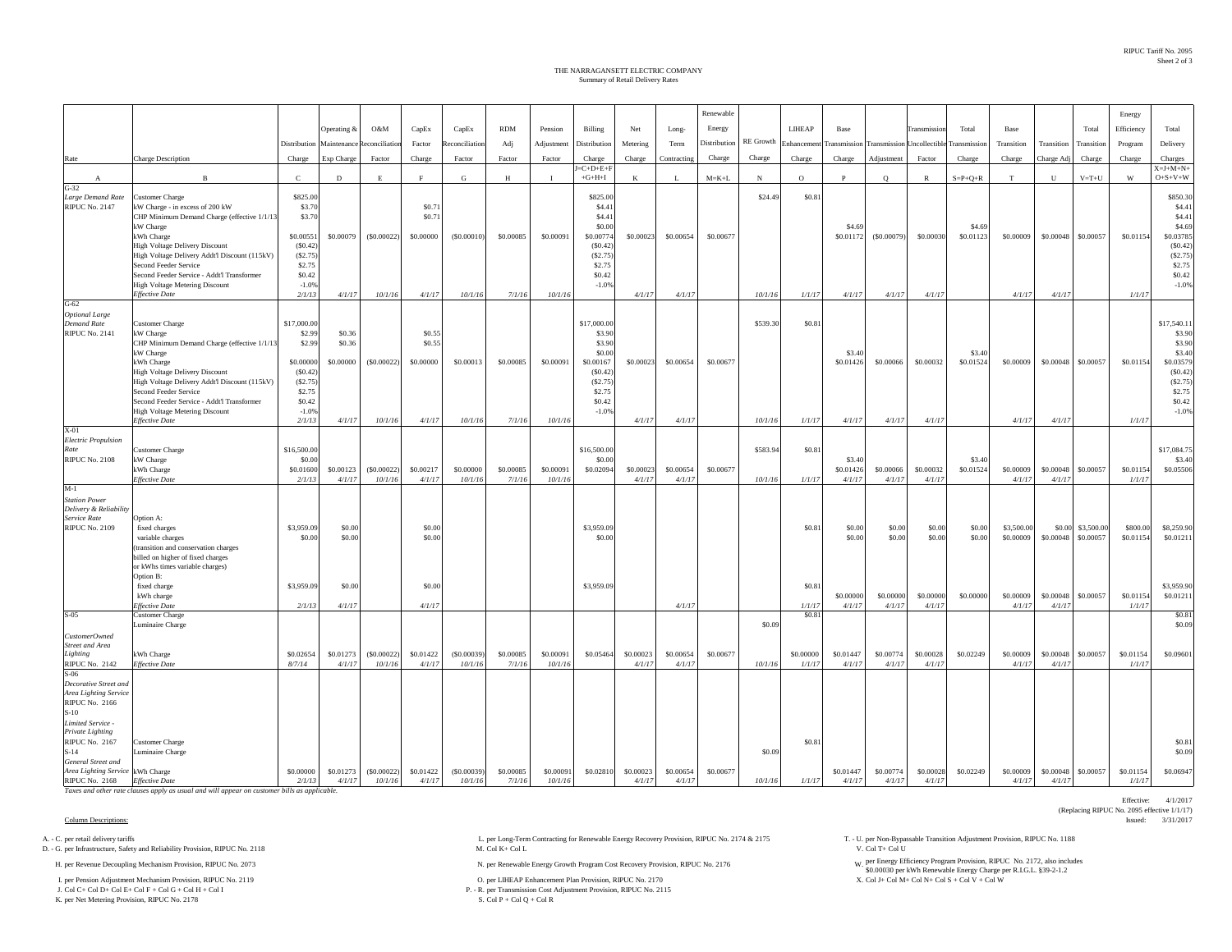## Summary of Retail Delivery Rates THE NARRAGANSETT ELECTRIC COMPANY

|                                                        |                                                                                              |                       |             |               |           |                |            |            |                        |           |             | Renewable    |            |                       |                     |                            |                    |                 |             |            |             | Energy     |                                      |
|--------------------------------------------------------|----------------------------------------------------------------------------------------------|-----------------------|-------------|---------------|-----------|----------------|------------|------------|------------------------|-----------|-------------|--------------|------------|-----------------------|---------------------|----------------------------|--------------------|-----------------|-------------|------------|-------------|------------|--------------------------------------|
|                                                        |                                                                                              |                       | Operating & | O&M           | CapEx     | CapEx          | <b>RDM</b> | Pension    | Billing                | Net       | Long-       | Energy       |            | LIHEAP                | Base                |                            | <b>Transmissic</b> | Total           | Base        |            | Total       | Efficiency | Total                                |
|                                                        |                                                                                              | Distribution          | Maintenance | teconciliatio | Factor    | Reconciliation | Adj        | Adjustment | Distribution           | Metering  | Term        | Distribution |            | RE Growth Enhancement | <b>Transmission</b> | Transmission Uncollectible |                    | Transmission    | Transition  | Transition | Transition  | Program    | Delivery                             |
| Rate                                                   | Charge Description                                                                           | Charge                | Exp Charge  | Factor        | Charge    | Factor         | Factor     | Factor     | Charge                 | Charge    | Contracting | Charge       | Charge     | Charge                | Charge              | Adjustment                 | Factor             | Charge          | Charge      | Charge Adj | Charge      | Charge     | Charges                              |
| A                                                      | $\mathbf{B}$                                                                                 | $\mathbf C$           | $\mathbf D$ | E             | F         | G              | H          | $\bf{I}$   | $=C+D+E+F$<br>$+G+H+I$ | K         | L           | $M = K + L$  | $_{\rm N}$ | $\circ$               | $\mathbf{P}$        | $\circ$                    | $\mathbb{R}$       | $S = P + Q + R$ | $\mathbf T$ | ${\bf U}$  | $V = T + U$ | W          | $X = J + M + N +$<br>$O + S + V + W$ |
| $G-32$                                                 |                                                                                              |                       |             |               |           |                |            |            |                        |           |             |              |            |                       |                     |                            |                    |                 |             |            |             |            |                                      |
| Large Demand Rate<br><b>RIPUC No. 2147</b>             | <b>Customer Charge</b><br>kW Charge - in excess of 200 kW                                    | \$825.00<br>\$3.70    |             |               | \$0.71    |                |            |            | \$825.00<br>\$4.41     |           |             |              | \$24.49    | \$0.81                |                     |                            |                    |                 |             |            |             |            | \$850.30<br>\$4.4                    |
|                                                        | CHP Minimum Demand Charge (effective 1/1/13                                                  | \$3.70                |             |               | \$0.71    |                |            |            | \$4.41                 |           |             |              |            |                       |                     |                            |                    |                 |             |            |             |            | \$4.41                               |
|                                                        | kW Charge                                                                                    |                       |             |               |           |                |            |            | \$0.00                 |           |             |              |            |                       | \$4.69<br>\$0,01172 |                            |                    | \$4.69          |             |            |             |            | \$4.69                               |
|                                                        | kWh Charge<br><b>High Voltage Delivery Discount</b>                                          | \$0.00551<br>(S0.42)  | \$0.00079   | (\$0.00022)   | \$0.00000 | (S0.00010)     | \$0.00085  | \$0.00091  | \$0.00774<br>(S0.42)   | \$0.00023 | \$0.00654   | \$0.00677    |            |                       |                     | $($ \$0.00079)             | \$0.00030          | \$0.01123       | \$0.00009   | \$0.00048  | \$0.00057   | \$0.01154  | \$0.03785<br>(S0.42)                 |
|                                                        | High Voltage Delivery Addt'l Discount (115kV)                                                | (S2.75)               |             |               |           |                |            |            | (S2.75)                |           |             |              |            |                       |                     |                            |                    |                 |             |            |             |            | (S2.75)                              |
|                                                        | Second Feeder Service<br>Second Feeder Service - Addt'l Transformer                          | \$2.75<br>\$0.42      |             |               |           |                |            |            | \$2.75<br>\$0.42       |           |             |              |            |                       |                     |                            |                    |                 |             |            |             |            | \$2.75<br>\$0.42                     |
|                                                        | <b>High Voltage Metering Discount</b>                                                        | $-1.0%$               |             |               |           |                |            |            | $-1.0%$                |           |             |              |            |                       |                     |                            |                    |                 |             |            |             |            | $-1.0%$                              |
| $G-62$                                                 | <b>Effective Date</b>                                                                        | 2/1/13                | 4/1/17      | 10/1/16       | 4/1/17    | 10/1/16        | 7/1/16     | 10/1/16    |                        | 4/1/17    | 4/1/17      |              | 10/1/16    | 1/1/17                | 4/1/17              | 4/1/17                     | 4/1/17             |                 | 4/1/17      | 4/1/17     |             | 1/1/17     |                                      |
| <b>Optional Large</b>                                  |                                                                                              |                       |             |               |           |                |            |            |                        |           |             |              |            |                       |                     |                            |                    |                 |             |            |             |            |                                      |
| <b>Demand Rate</b><br><b>RIPUC No. 2141</b>            | <b>Customer Charge</b><br>kW Charge                                                          | \$17,000.00<br>\$2.99 | \$0.36      |               | \$0.55    |                |            |            | \$17,000.00<br>\$3.90  |           |             |              | \$539.30   | \$0.81                |                     |                            |                    |                 |             |            |             |            | \$17,540.1<br>\$3.90                 |
|                                                        | CHP Minimum Demand Charge (effective 1/1/1)                                                  | \$2.99                | \$0.36      |               | \$0.55    |                |            |            | \$3.90                 |           |             |              |            |                       |                     |                            |                    |                 |             |            |             |            | \$3.90                               |
|                                                        | kW Charge                                                                                    |                       |             |               |           |                |            |            | \$0.00                 |           |             |              |            |                       | \$3.40              |                            |                    | \$3.40          |             |            |             |            | \$3.40                               |
|                                                        | kWh Charge<br>High Voltage Delivery Discount                                                 | \$0,00000<br>(S0.42)  | \$0.00000   | (S0.00022)    | \$0.00000 | \$0.00013      | \$0.00085  | \$0.00091  | \$0.00167<br>(S0.42)   | \$0,00023 | \$0.00654   | \$0.00677    |            |                       | \$0.01426           | \$0.00066                  | \$0.00032          | \$0.01524       | \$0.00009   | \$0.00048  | \$0.00057   | \$0.01154  | \$0.03579<br>(S0.42)                 |
|                                                        | High Voltage Delivery Addt'l Discount (115kV)                                                | (S2.75)               |             |               |           |                |            |            | (S2.75)                |           |             |              |            |                       |                     |                            |                    |                 |             |            |             |            | (S2.75)                              |
|                                                        | Second Feeder Service<br>Second Feeder Service - Addt'l Transformer                          | \$2.75<br>\$0.42      |             |               |           |                |            |            | \$2.75<br>\$0.42       |           |             |              |            |                       |                     |                            |                    |                 |             |            |             |            | \$2.75<br>\$0.42                     |
|                                                        | <b>High Voltage Metering Discount</b>                                                        | $-1.0%$               |             |               |           |                |            |            | $-1.0%$                |           |             |              |            |                       |                     |                            |                    |                 |             |            |             |            | $-1.0%$                              |
| $X-01$                                                 | <b>Effective Date</b>                                                                        | 2/1/13                | 4/1/17      | 10/1/16       | 4/1/17    | 10/1/16        | 7/1/16     | 10/1/16    |                        | 4/1/17    | 4/1/17      |              | 10/1/16    | 1/1/17                | 4/1/17              | 4/1/17                     | 4/1/17             |                 | 4/1/17      | 4/1/17     |             | 1/1/17     |                                      |
| <b>Electric Propulsion</b>                             |                                                                                              |                       |             |               |           |                |            |            |                        |           |             |              |            |                       |                     |                            |                    |                 |             |            |             |            |                                      |
| Rate<br><b>RIPUC No. 2108</b>                          | Customer Charge<br>kW Charge                                                                 | \$16,500.00<br>\$0.00 |             |               |           |                |            |            | \$16,500.00<br>\$0.00  |           |             |              | \$583.94   | \$0.81                | \$3.40              |                            |                    | \$3.40          |             |            |             |            | \$17,084.7<br>\$3.40                 |
|                                                        | kWh Charge                                                                                   | \$0.01600             | \$0.00123   | (S0.00022)    | \$0.00217 | \$0.00000      | \$0.00085  | \$0.00091  | \$0.02094              | \$0.00023 | \$0.00654   | \$0.00677    |            |                       | \$0.01426           | \$0.00066                  | \$0.00032          | \$0.01524       | \$0.00009   | \$0.00048  | \$0.00057   | \$0.01154  | \$0.05506                            |
| $M-1$                                                  | <b>Effective Date</b>                                                                        | 2/1/13                | 4/1/17      | 10/1/16       | 4/1/17    | 10/1/16        | 7/1/16     | 10/1/16    |                        | 4/1/17    | 4/1/17      |              | 10/1/16    | 1/1/17                | 4/1/17              | 4/1/17                     | 4/1/17             |                 | 4/1/17      | 4/1/17     |             | 1/1/17     |                                      |
| <b>Station Power</b>                                   |                                                                                              |                       |             |               |           |                |            |            |                        |           |             |              |            |                       |                     |                            |                    |                 |             |            |             |            |                                      |
| Delivery & Reliability<br>Service Rate                 |                                                                                              |                       |             |               |           |                |            |            |                        |           |             |              |            |                       |                     |                            |                    |                 |             |            |             |            |                                      |
| <b>RIPUC No. 2109</b>                                  | Option A:<br>fixed charges                                                                   | \$3,959.09            | \$0.00      |               | \$0.00    |                |            |            | \$3,959.09             |           |             |              |            | \$0.8                 | \$0.00              | \$0.00                     | \$0.00             | \$0.00          | \$3,500.00  | \$0.00     | \$3,500.00  | \$800.00   | \$8,259.90                           |
|                                                        | variable charges                                                                             | \$0.00                | \$0.00      |               | \$0.00    |                |            |            | \$0.00                 |           |             |              |            |                       | \$0.00              | \$0.00                     | \$0.00             | \$0.00          | \$0,00009   | \$0,00048  | \$0,00057   | \$0.01154  | \$0.01211                            |
|                                                        | (transition and conservation charges<br>billed on higher of fixed charges                    |                       |             |               |           |                |            |            |                        |           |             |              |            |                       |                     |                            |                    |                 |             |            |             |            |                                      |
|                                                        | or kWhs times variable charges)                                                              |                       |             |               |           |                |            |            |                        |           |             |              |            |                       |                     |                            |                    |                 |             |            |             |            |                                      |
|                                                        | Option B:<br>fixed charge                                                                    | \$3,959.09            | \$0.00      |               | \$0.00    |                |            |            | \$3,959.09             |           |             |              |            | \$0.81                |                     |                            |                    |                 |             |            |             |            | \$3,959.90                           |
|                                                        | kWh charge                                                                                   |                       |             |               |           |                |            |            |                        |           |             |              |            |                       | \$0.00000           | \$0.00000                  | \$0.00000          | \$0.00000       | \$0.00009   | \$0.00048  | \$0.00057   | \$0.01154  | \$0.01211                            |
| $S-05$                                                 | Effective Date<br><b>Customer Charge</b>                                                     | 2/1/13                | 4/1/17      |               | 4/1/17    |                |            |            |                        |           | 4/1/17      |              |            | 1/1/17<br>\$0.8       | 4/1/17              | 4/1/17                     | 4/1/17             |                 | 4/1/17      | 4/1/17     |             | 1/1/17     | \$0.81                               |
|                                                        | Luminaire Charge                                                                             |                       |             |               |           |                |            |            |                        |           |             |              | \$0.09     |                       |                     |                            |                    |                 |             |            |             |            | \$0.09                               |
| CustomerOwned<br>Street and Area                       |                                                                                              |                       |             |               |           |                |            |            |                        |           |             |              |            |                       |                     |                            |                    |                 |             |            |             |            |                                      |
| Lighting                                               | kWh Charge                                                                                   | \$0.02654             | \$0.01273   | (S0.00022)    | \$0.01422 | $($ \$0.00039) | \$0,00085  | \$0.00091  | \$0.05464              | \$0,00023 | \$0.00654   | \$0.00677    |            | \$0,00000             | \$0.01447           | \$0,00774                  | \$0,00028          | \$0.02249       | \$0,00009   | \$0.00048  | \$0,00057   | \$0.01154  | \$0.09601                            |
| <b>RIPUC No. 2142</b><br>$S-06$                        | <b>Effective Date</b>                                                                        | 8/7/14                | 4/1/17      | 10/1/16       | 4/1/17    | 10/1/16        | 7/1/16     | 10/1/16    |                        | 4/1/17    | 4/1/17      |              | 10/1/16    | 1/1/17                | 4/1/17              | 4/1/17                     | 4/1/17             |                 | 4/1/17      | 4/1/17     |             | 1/1/17     |                                      |
| Decorative Street and                                  |                                                                                              |                       |             |               |           |                |            |            |                        |           |             |              |            |                       |                     |                            |                    |                 |             |            |             |            |                                      |
| Area Lighting Service<br><b>RIPUC No. 2166</b>         |                                                                                              |                       |             |               |           |                |            |            |                        |           |             |              |            |                       |                     |                            |                    |                 |             |            |             |            |                                      |
| $S-10$                                                 |                                                                                              |                       |             |               |           |                |            |            |                        |           |             |              |            |                       |                     |                            |                    |                 |             |            |             |            |                                      |
| Limited Service -                                      |                                                                                              |                       |             |               |           |                |            |            |                        |           |             |              |            |                       |                     |                            |                    |                 |             |            |             |            |                                      |
| Private Lighting<br><b>RIPUC No. 2167</b>              | <b>Customer Charge</b>                                                                       |                       |             |               |           |                |            |            |                        |           |             |              |            | \$0.81                |                     |                            |                    |                 |             |            |             |            | \$0.81                               |
| $S-14$                                                 | Luminaire Charge                                                                             |                       |             |               |           |                |            |            |                        |           |             |              | \$0.09     |                       |                     |                            |                    |                 |             |            |             |            | \$0.09                               |
| General Street and<br>Area Lighting Service kWh Charge |                                                                                              | \$0.00000             | \$0.01273   | (\$0.00022)   | \$0.01422 | ( \$0.00039)   | \$0.00085  | \$0.0009   | \$0.02810              | \$0.00023 | \$0.00654   | \$0.00677    |            |                       | \$0.01447           | \$0.00774                  | \$0.00028          | \$0.02249       | \$0.00009   | \$0.00048  | \$0.00057   | \$0.01154  | \$0.06947                            |
| RIPUC No. 2168 Effective Date                          |                                                                                              | 2/1/13                | 4/1/17      | 10/1/16       | 4/1/17    | 10/1/16        | 7/1/16     | 10/1/16    |                        | 4/1/17    | 4/1/17      |              | 10/1/16    | 1/1/17                | 4/1/17              | 4/1/17                     | 4/1/17             |                 | 4/1/17      | 4/1/17     |             | 1/1/17     |                                      |
|                                                        | Taxes and other rate clauses apply as usual and will appear on customer bills as applicable. |                       |             |               |           |                |            |            |                        |           |             |              |            |                       |                     |                            |                    |                 |             |            |             |            |                                      |

## Column Descriptions: Issued: 3/31/2017

D. - G. per Infrastructure, Safety and Reliability Provision, RIPUC No. 2118

I. per Pension Adjustment Mechanism Provision, RIPUC No. 2119 College and College and College and College and College and College and College and College and College and College and Col M+ Col 2170 Col 2170 Col 2170 Col 21 J. Col C+ Col D+ Col E+ Col F + Col G + Col H + Col I

K. per Net Metering Provision, RIPUC No. 2178

H. per Revenue Decoupling Mechanism Provision, RIPUC No. 2073 N. per Renewable Energy Growth Program Cost Recovery Provision, RIPUC No. 2176

P. - R. per Transmission Cost Adjustment Provision, RIPUC No. 2115<br>S. Col P + Col Q + Col R

Effective: 4/1/2017(Replacing RIPUC No. 2095 effective 1/1/17)

A. - C. per retail delivery tariffs Adjustment Provision, RIPUC No. 2118 L. per Long-Term Contracting for Renewable Energy Recovery Provision, RIPUC No. 2174 & 2175 T. - U. per Non-Bypassable Transition Adjustment Provisio

per Energy Efficiency Program Provision, RIPUC No. 2172, also includes \$0.00030 per kWh Renewable Energy Charge per R.I.G.L. §39-2-1.2